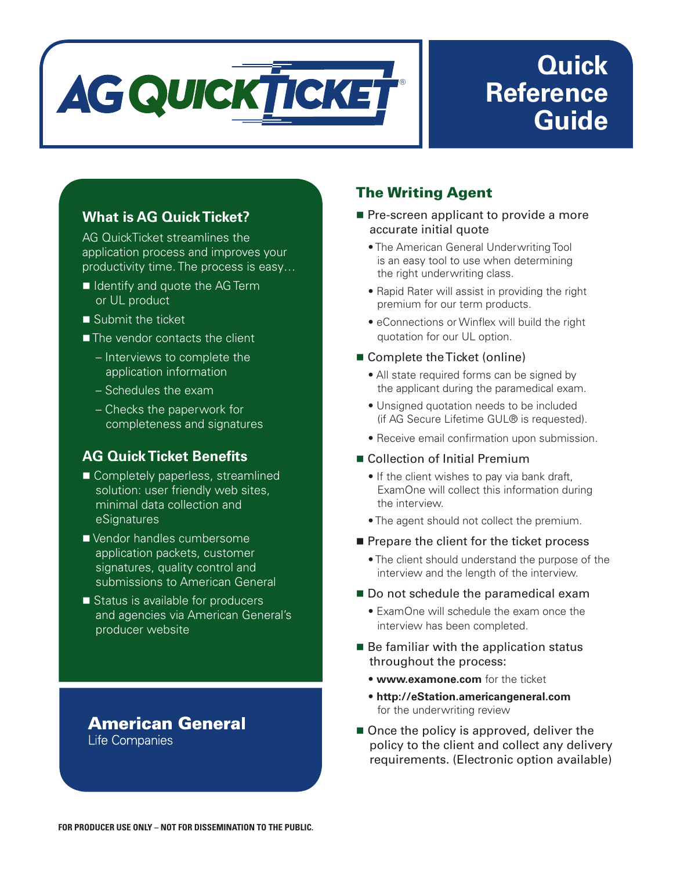

# **Quick Reference Guide**

## **What is AG Quick Ticket?**

AG QuickTicket streamlines the application process and improves your productivity time. The process is easy…

- $\blacksquare$  Identify and quote the AG Term or UL product
- $\blacksquare$  Submit the ticket
- The vendor contacts the client
	- Interviews to complete the application information
	- Schedules the exam
	- Checks the paperwork for completeness and signatures

### **AG Quick Ticket Benefits**

- Completely paperless, streamlined solution: user friendly web sites, minimal data collection and **eSignatures**
- Vendor handles cumbersome application packets, customer signatures, quality control and submissions to American General
- Status is available for producers and agencies via American General's producer website

#### **American General** Life Companies

## The Writing Agent

- $\blacksquare$  Pre-screen applicant to provide a more accurate initial quote
	- The American General Underwriting Tool is an easy tool to use when determining the right underwriting class.
	- Rapid Rater will assist in providing the right premium for our term products.
	- eConnections or Winflex will build the right quotation for our UL option.

#### ■ Complete the Ticket (online)

- All state required forms can be signed by the applicant during the paramedical exam.
- Unsigned quotation needs to be included (if AG Secure Lifetime GUL® is requested).
- Receive email confirmation upon submission.

#### ■ Collection of Initial Premium

- If the client wishes to pay via bank draft, ExamOne will collect this information during the interview.
- The agent should not collect the premium.
- $\blacksquare$  Prepare the client for the ticket process
	- The client should understand the purpose of the interview and the length of the interview.
- Do not schedule the paramedical exam
	- ExamOne will schedule the exam once the interview has been completed.
- $\blacksquare$  Be familiar with the application status throughout the process:
	- **www.examone.com** for the ticket
	- **http://eStation.americangeneral.com** for the underwriting review
- $\blacksquare$  Once the policy is approved, deliver the policy to the client and collect any delivery requirements. (Electronic option available)